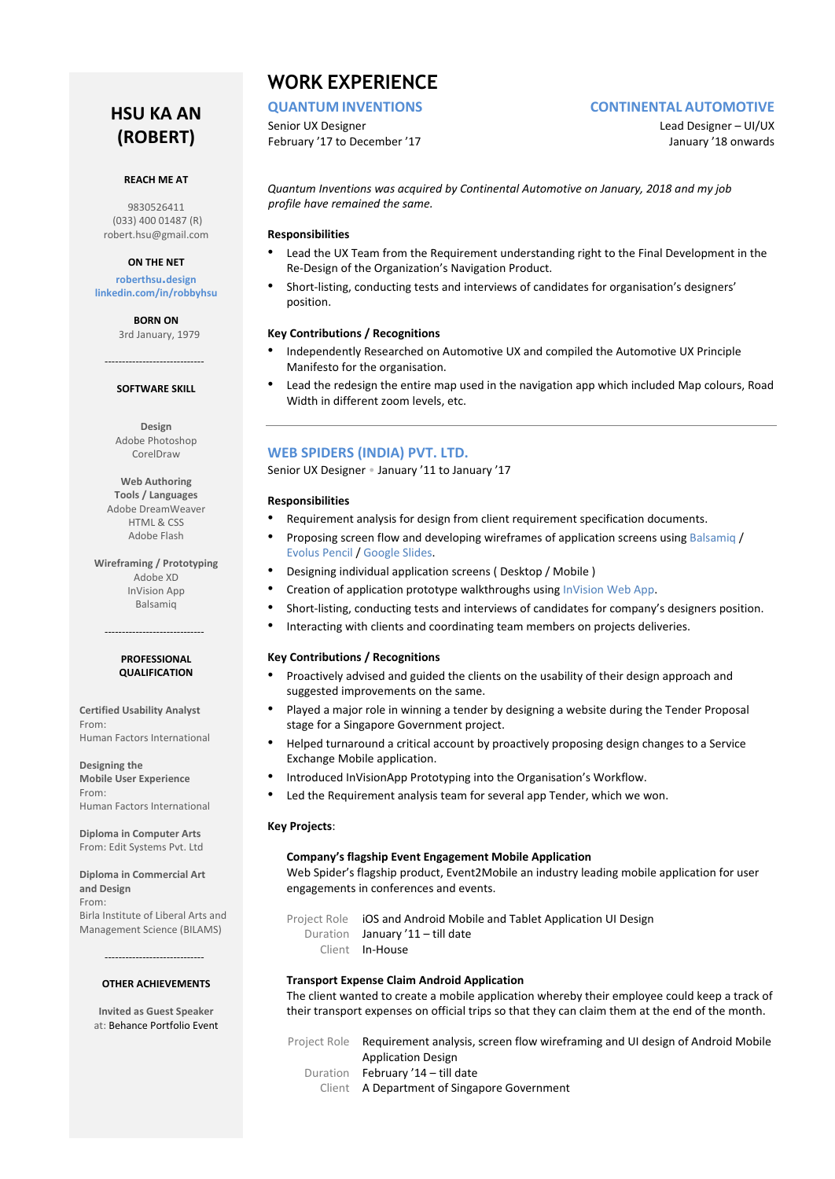# **HSU KA AN (ROBERT)**

#### **REACH ME AT**

9830526411 (033) 400 01487 (R) [robert.hsu@gmail.com](mailto:robert.hsu@gmail.com)

#### **ON THE NET**

**[roberthsu](https://roberthsu.design/).design [linkedin.com/in/robbyhsu](https://www.linkedin.com/in/robbyhsu/)**

> **BORN ON** 3rd January, 1979

## ----------------------------- **SOFTWARE SKILL**

**Design** Adobe Photoshop CorelDraw

**Web Authoring Tools / Languages** Adobe DreamWeaver HTML & CSS Adobe Flash

**Wireframing / Prototyping** Adobe XD InVision App Balsamiq

#### **PROFESSIONAL QUALIFICATION**

-----------------------------

**Certified Usability Analyst** From: Human Factors International

**Designing the Mobile User Experience** From: Human Factors International

**Diploma in Computer Arts** From: Edit Systems Pvt. Ltd

**Diploma in Commercial Art and Design** From: Birla Institute of Liberal Arts and Management Science (BILAMS)

> ----------------------------- **OTHER ACHIEVEMENTS**

**Invited as Guest Speaker** at: [Behance Portfolio Event](https://www.innofied.com/behance-portfolio-review-kolkata/)

## **WORK EXPERIENCE**

Senior UX Designer and Designer and Designer – UI/UX February '17 to December '17 The Second Library of the United States of the United States of the United States

#### **[QUANTUM](http://www.quantuminventions.com/) [INVENTIONS](http://www.quantuminventions.com/) [CONTINENTAL](http://www.quantuminventions.com/) [AU](http://www.quantuminventions.com/)TOMOTIVE**

*Quantum Inventions was acquired by Continental Automotive on January, 2018 and my job profile have remained the same.* 

#### **Responsibilities**

- Lead the UX Team from the Requirement understanding right to the Final Development in the Re-Design of the Organization's Navigation Product.
- Short-listing, conducting tests and interviews of candidates for organisation's designers' position.

#### **Key Contributions / Recognitions**

- Independently Researched on Automotive UX and compiled the Automotive UX Principle Manifesto for the organisation.
- Lead the redesign the entire map used in the navigation app which included Map colours, Road Width in different zoom levels, etc.

#### **[WEB SPIDERS \(INDIA\) PVT. LTD.](http://www.webspiders.com/)**

Senior UX Designer • January '11 to January '17

#### **Responsibilities**

- Requirement analysis for design from client requirement specification documents.
- Proposing screen flow and developing wireframes of application screens usin[g Balsamiq](https://balsamiq.com/) / [Evolus Pencil](http://pencil.evolus.vn/) [/ Google Slides.](http://www.google.co.in/slides/about/)
- Designing individual application screens ( Desktop / Mobile )
- Creation of application prototype walkthroughs using [InVision Web App.](http://www.invisionapp.com/)
- Short-listing, conducting tests and interviews of candidates for company's designers position.
- Interacting with clients and coordinating team members on projects deliveries.

#### **Key Contributions / Recognitions**

- Proactively advised and guided the clients on the usability of their design approach and suggested improvements on the same.
- Played a major role in winning a tender by designing a website during the Tender Proposal stage for a Singapore Government project.
- Helped turnaround a critical account by proactively proposing design changes to a Service Exchange Mobile application.
- Introduced InVisionApp Prototyping into the Organisation's Workflow.
- Led the Requirement analysis team for several app Tender, which we won.

#### **Key Projects**:

#### **Company's flagship Event Engagement Mobile Application**

Web Spider's flagship product[, Event2Mobile](http://www.event2mobile.com/) an industry leading mobile application for user engagements in conferences and events.

Project Role iOS and Android Mobile and Tablet Application UI Design Duration January '11 - till date

Client In-House

#### **Transport Expense Claim Android Application**

The client wanted to create a mobile application whereby their employee could keep a track of their transport expenses on official trips so that they can claim them at the end of the month.

Project Role Requirement analysis, screen flow wireframing and UI design of Android Mobile Application Design Duration February '14 – till date

Client A Department of Singapore Government